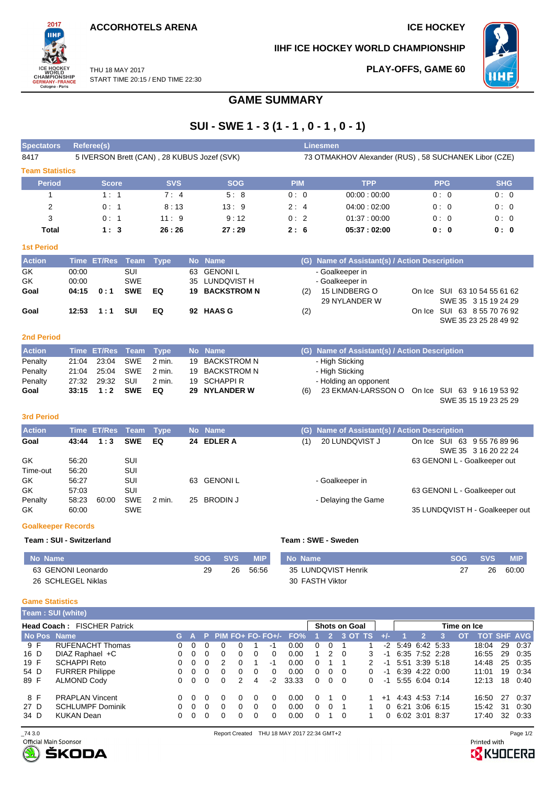**ACCORHOTELS ARENA ICE HOCKEY** 

2017

WORLD<br>CHAMPIONSHIP<br>GERMANY-FRANCE<br>Cologne-Paris

**PLAY-OFFS, GAME 60**

**IIHF ICE HOCKEY WORLD CHAMPIONSHIP**



THU 18 MAY 2017 START TIME 20:15 / END TIME 22:30

# **GAME SUMMARY**

# **SUI - SWE 1 - 3 (1 - 1 , 0 - 1 , 0 - 1)**

| <b>Spectators</b>         |                | <b>Referee(s)</b>  |                   |             |    |                                             |            |     | Linesmen                                             |            |                                                      |
|---------------------------|----------------|--------------------|-------------------|-------------|----|---------------------------------------------|------------|-----|------------------------------------------------------|------------|------------------------------------------------------|
| 8417                      |                |                    |                   |             |    | 5 IVERSON Brett (CAN), 28 KUBUS Jozef (SVK) |            |     | 73 OTMAKHOV Alexander (RUS), 58 SUCHANEK Libor (CZE) |            |                                                      |
| <b>Team Statistics</b>    |                |                    |                   |             |    |                                             |            |     |                                                      |            |                                                      |
| <b>Period</b>             |                | <b>Score</b>       |                   | <b>SVS</b>  |    | <b>SOG</b>                                  | <b>PIM</b> |     | <b>TPP</b>                                           | <b>PPG</b> | <b>SHG</b>                                           |
| $\mathbf{1}$              |                | 1:1                |                   | 7:4         |    | 5:8                                         | 0:0        |     | 00:00:00:00                                          | 0:0        | 0:0                                                  |
| 2                         |                | 0:1                |                   | 8:13        |    | 13:9                                        | 2:4        |     | 04:00:02:00                                          | 0:0        | 0:0                                                  |
| 3                         |                | 0:1                |                   | 11:9        |    | 9:12                                        | 0:2        |     | 01:37:00:00                                          | 0:0        | 0:0                                                  |
| Total                     |                | 1:3                |                   | 26:26       |    | 27:29                                       | 2:6        |     | 05:37:02:00                                          | 0: 0       | 0:0                                                  |
| <b>1st Period</b>         |                |                    |                   |             |    |                                             |            |     |                                                      |            |                                                      |
| <b>Action</b>             |                | Time ET/Res Team   |                   | <b>Type</b> |    | No Name                                     |            |     | (G) Name of Assistant(s) / Action Description        |            |                                                      |
| GK                        | 00:00          |                    | SUI               |             | 63 | <b>GENONIL</b>                              |            |     | - Goalkeeper in                                      |            |                                                      |
| <b>GK</b>                 | 00:00          |                    | <b>SWE</b>        |             | 35 | LUNDQVIST H                                 |            |     | - Goalkeeper in                                      |            |                                                      |
| Goal                      | 04:15          | 0:1                | <b>SWE</b>        | EQ          | 19 | <b>BACKSTROM N</b>                          |            | (2) | 15 LINDBERG O                                        |            | On Ice SUI 63 10 54 55 61 62                         |
|                           | 12:53          | 1:1                | <b>SUI</b>        | EQ          |    | 92 HAAS G                                   |            |     | 29 NYLANDER W                                        |            | SWE 35 3 15 19 24 29<br>On Ice SUI 63 8 55 70 76 92  |
| Goal                      |                |                    |                   |             |    |                                             |            | (2) |                                                      |            | SWE 35 23 25 28 49 92                                |
|                           |                |                    |                   |             |    |                                             |            |     |                                                      |            |                                                      |
| <b>2nd Period</b>         |                |                    |                   |             |    |                                             |            |     |                                                      |            |                                                      |
| <b>Action</b>             | <b>Time</b>    | <b>ET/Res</b>      | Team              | <b>Type</b> |    | No Name                                     |            |     | (G) Name of Assistant(s) / Action Description        |            |                                                      |
| Penalty                   | 21:04          | 23:04              | <b>SWE</b>        | $2$ min.    | 19 | <b>BACKSTROM N</b>                          |            |     | - High Sticking                                      |            |                                                      |
| Penalty                   | 21:04          | 25:04              | <b>SWE</b>        | $2$ min.    | 19 | <b>BACKSTROM N</b>                          |            |     | - High Sticking                                      |            |                                                      |
| Penalty                   | 27:32<br>33:15 | 29:32<br>1:2       | SUI<br><b>SWE</b> | 2 min.      | 19 | <b>SCHAPPI R</b><br><b>NYLANDER W</b>       |            |     | - Holding an opponent                                |            |                                                      |
| Goal                      |                |                    |                   | EQ          | 29 |                                             |            | (6) | 23 EKMAN-LARSSON O                                   |            | On Ice SUI 63 9 16 19 53 92<br>SWE 35 15 19 23 25 29 |
|                           |                |                    |                   |             |    |                                             |            |     |                                                      |            |                                                      |
| <b>3rd Period</b>         |                |                    |                   |             |    |                                             |            |     |                                                      |            |                                                      |
| <b>Action</b>             |                | <b>Time ET/Res</b> | <b>Team</b>       | <b>Type</b> |    | No Name                                     |            | (G) | Name of Assistant(s) / Action Description            |            |                                                      |
| Goal                      | 43:44          | 1:3                | <b>SWE</b>        | EQ          |    | 24 EDLER A                                  |            | (1) | 20 LUNDQVIST J                                       |            | On Ice SUI 63 9 55 76 89 96                          |
|                           |                |                    |                   |             |    |                                             |            |     |                                                      |            | SWE 35 3 16 20 22 24                                 |
| GK                        | 56:20          |                    | SUI               |             |    |                                             |            |     |                                                      |            | 63 GENONI L - Goalkeeper out                         |
| Time-out<br>GK            | 56:20<br>56:27 |                    | SUI<br>SUI        |             | 63 | <b>GENONIL</b>                              |            |     | - Goalkeeper in                                      |            |                                                      |
| GK                        | 57:03          |                    | SUI               |             |    |                                             |            |     |                                                      |            | 63 GENONI L - Goalkeeper out                         |
| Penalty                   | 58:23          | 60:00              | <b>SWE</b>        | 2 min.      |    | 25 BRODIN J                                 |            |     | - Delaying the Game                                  |            |                                                      |
| GK                        | 60:00          |                    | <b>SWE</b>        |             |    |                                             |            |     |                                                      |            | 35 LUNDQVIST H - Goalkeeper out                      |
| <b>Goalkeeper Records</b> |                |                    |                   |             |    |                                             |            |     |                                                      |            |                                                      |

#### **Team : SUI - Switzerland Team : SWE - Sweden**

| No Name            | <b>SOG</b> | <b>SVS</b> | MIP   | No Name             | <b>SOG</b> | <b>SVS</b> | <b>MIP</b> |
|--------------------|------------|------------|-------|---------------------|------------|------------|------------|
| 63 GENONI Leonardo | 29         | 26         | 56:56 | 35 LUNDQVIST Henrik | <u>.</u>   | 26         | 60:00      |
| 26 SCHLEGEL Niklas |            |            |       | 30 FASTH Viktor     |            |            |            |

### **Game Statistics**

|             | <b>Team : SUI (white)</b>          |   |          |          |          |               |              |    |                             |              |               |                      |   |       |                     |                |             |                    |     |      |
|-------------|------------------------------------|---|----------|----------|----------|---------------|--------------|----|-----------------------------|--------------|---------------|----------------------|---|-------|---------------------|----------------|-------------|--------------------|-----|------|
|             | <b>Head Coach: FISCHER Patrick</b> |   |          |          |          |               |              |    |                             |              |               | <b>Shots on Goal</b> |   |       |                     |                | Time on Ice |                    |     |      |
| No Pos Name |                                    |   |          |          |          |               |              |    | G A P PIM FO+ FO- FO+/- FO% |              | $^{12}$       | 3 OT TS              |   | $+/-$ |                     |                | <b>OT</b>   | <b>TOT SHF AVG</b> |     |      |
| 9 F         | <b>RUFENACHT Thomas</b>            | 0 | $\Omega$ | 0        |          |               |              | -1 | 0.00                        | $\Omega$     |               |                      |   |       | $-2$ 5:49 6:42 5:33 |                |             | 18:04              | 29  | 0:37 |
| 16 D        | DIAZ Raphael +C                    | 0 | $\Omega$ | $\Omega$ | $\Omega$ | 0             | $\Omega$     | 0  | 0.00                        | 1.           | $\mathcal{P}$ | - 0                  | 3 | -1    | 6:35 7:52 2:28      |                |             | 16:55              | 29  | 0:35 |
| 19 F        | <b>SCHAPPI Reto</b>                | 0 | $\Omega$ | $\Omega$ | 2        | <sup>n</sup>  |              | -1 | 0.00                        | $\Omega$     |               |                      |   | -1    |                     | 5:51 3:39 5:18 |             | 14:48              | 25  | 0.35 |
| 54 D        | <b>FURRER Philippe</b>             | 0 | $\Omega$ | $\Omega$ | $\Omega$ | 0             | $\Omega$     | 0  | 0.00                        | $\Omega$     | $\Omega$      | - റ                  | 0 | -1    | 6:39 4:22 0:00      |                |             | 11:01              | 19  | 0:34 |
| 89 F        | <b>ALMOND Cody</b>                 | 0 | $\Omega$ | $\Omega$ | $\Omega$ | $\mathcal{P}$ | 4            | -2 | 33.33                       | $\Omega$     | $\Omega$      | - റ                  | 0 | $-1$  | 5:55 6:04 0:14      |                |             | 12:13              | 18  | 0:40 |
| 8 F         | <b>PRAPLAN Vincent</b>             | 0 | $\Omega$ | $\Omega$ | $\Omega$ | $\Omega$      | <sup>0</sup> | 0  | 0.00                        | <sup>0</sup> |               | 1 0                  |   | $+1$  | 4:43 4:53 7:14      |                |             | 16:50              | -27 | 0:37 |
| 27 D        | <b>SCHLUMPF Dominik</b>            | 0 | $\Omega$ | $\Omega$ | $\Omega$ | 0             | $\Omega$     | 0  | 0.00                        | $\Omega$     |               |                      |   |       | 0.6213066315        |                |             | 15:42              | 31  | 0:30 |
| 34 D        | KUKAN Dean                         | 0 | $\Omega$ | $\Omega$ | $\Omega$ | 0             | $\Omega$     | 0  | 0.00                        |              |               | - 0                  |   |       | 0, 6.02, 3.01, 8.37 |                |             | 17:40              | 32  | 0:33 |